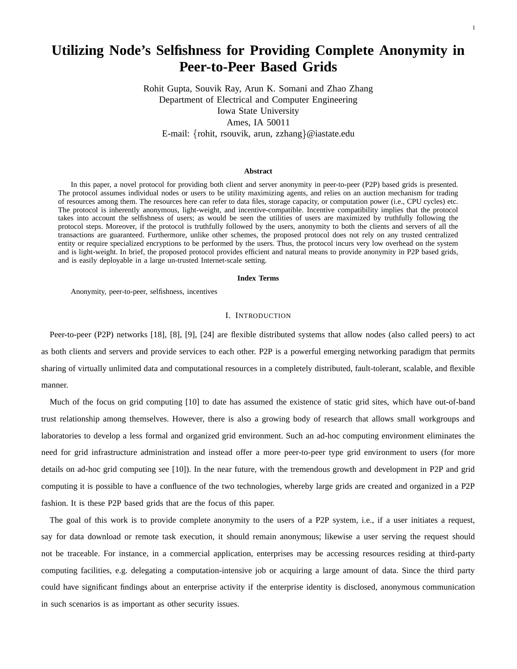# **Utilizing Node's Selfishness for Providing Complete Anonymity in Peer-to-Peer Based Grids**

Rohit Gupta, Souvik Ray, Arun K. Somani and Zhao Zhang Department of Electrical and Computer Engineering Iowa State University Ames, IA 50011 E-mail: {rohit, rsouvik, arun, zzhang}@iastate.edu

#### **Abstract**

In this paper, a novel protocol for providing both client and server anonymity in peer-to-peer (P2P) based grids is presented. The protocol assumes individual nodes or users to be utility maximizing agents, and relies on an auction mechanism for trading of resources among them. The resources here can refer to data files, storage capacity, or computation power (i.e., CPU cycles) etc. The protocol is inherently anonymous, light-weight, and incentive-compatible. Incentive compatibility implies that the protocol takes into account the selfishness of users; as would be seen the utilities of users are maximized by truthfully following the protocol steps. Moreover, if the protocol is truthfully followed by the users, anonymity to both the clients and servers of all the transactions are guaranteed. Furthermore, unlike other schemes, the proposed protocol does not rely on any trusted centralized entity or require specialized encryptions to be performed by the users. Thus, the protocol incurs very low overhead on the system and is light-weight. In brief, the proposed protocol provides efficient and natural means to provide anonymity in P2P based grids, and is easily deployable in a large un-trusted Internet-scale setting.

#### **Index Terms**

Anonymity, peer-to-peer, selfishness, incentives

### I. INTRODUCTION

Peer-to-peer (P2P) networks [18], [8], [9], [24] are flexible distributed systems that allow nodes (also called peers) to act as both clients and servers and provide services to each other. P2P is a powerful emerging networking paradigm that permits sharing of virtually unlimited data and computational resources in a completely distributed, fault-tolerant, scalable, and flexible manner.

Much of the focus on grid computing [10] to date has assumed the existence of static grid sites, which have out-of-band trust relationship among themselves. However, there is also a growing body of research that allows small workgroups and laboratories to develop a less formal and organized grid environment. Such an ad-hoc computing environment eliminates the need for grid infrastructure administration and instead offer a more peer-to-peer type grid environment to users (for more details on ad-hoc grid computing see [10]). In the near future, with the tremendous growth and development in P2P and grid computing it is possible to have a confluence of the two technologies, whereby large grids are created and organized in a P2P fashion. It is these P2P based grids that are the focus of this paper.

The goal of this work is to provide complete anonymity to the users of a P2P system, i.e., if a user initiates a request, say for data download or remote task execution, it should remain anonymous; likewise a user serving the request should not be traceable. For instance, in a commercial application, enterprises may be accessing resources residing at third-party computing facilities, e.g. delegating a computation-intensive job or acquiring a large amount of data. Since the third party could have significant findings about an enterprise activity if the enterprise identity is disclosed, anonymous communication in such scenarios is as important as other security issues.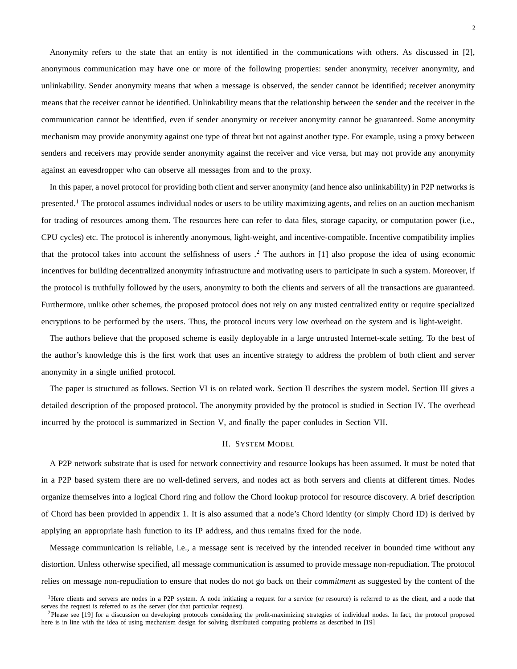Anonymity refers to the state that an entity is not identified in the communications with others. As discussed in [2], anonymous communication may have one or more of the following properties: sender anonymity, receiver anonymity, and unlinkability. Sender anonymity means that when a message is observed, the sender cannot be identified; receiver anonymity means that the receiver cannot be identified. Unlinkability means that the relationship between the sender and the receiver in the communication cannot be identified, even if sender anonymity or receiver anonymity cannot be guaranteed. Some anonymity mechanism may provide anonymity against one type of threat but not against another type. For example, using a proxy between senders and receivers may provide sender anonymity against the receiver and vice versa, but may not provide any anonymity against an eavesdropper who can observe all messages from and to the proxy.

In this paper, a novel protocol for providing both client and server anonymity (and hence also unlinkability) in P2P networks is presented.<sup>1</sup> The protocol assumes individual nodes or users to be utility maximizing agents, and relies on an auction mechanism for trading of resources among them. The resources here can refer to data files, storage capacity, or computation power (i.e., CPU cycles) etc. The protocol is inherently anonymous, light-weight, and incentive-compatible. Incentive compatibility implies that the protocol takes into account the selfishness of users . <sup>2</sup> The authors in [1] also propose the idea of using economic incentives for building decentralized anonymity infrastructure and motivating users to participate in such a system. Moreover, if the protocol is truthfully followed by the users, anonymity to both the clients and servers of all the transactions are guaranteed. Furthermore, unlike other schemes, the proposed protocol does not rely on any trusted centralized entity or require specialized encryptions to be performed by the users. Thus, the protocol incurs very low overhead on the system and is light-weight.

The authors believe that the proposed scheme is easily deployable in a large untrusted Internet-scale setting. To the best of the author's knowledge this is the first work that uses an incentive strategy to address the problem of both client and server anonymity in a single unified protocol.

The paper is structured as follows. Section VI is on related work. Section II describes the system model. Section III gives a detailed description of the proposed protocol. The anonymity provided by the protocol is studied in Section IV. The overhead incurred by the protocol is summarized in Section V, and finally the paper conludes in Section VII.

# II. SYSTEM MODEL

A P2P network substrate that is used for network connectivity and resource lookups has been assumed. It must be noted that in a P2P based system there are no well-defined servers, and nodes act as both servers and clients at different times. Nodes organize themselves into a logical Chord ring and follow the Chord lookup protocol for resource discovery. A brief description of Chord has been provided in appendix 1. It is also assumed that a node's Chord identity (or simply Chord ID) is derived by applying an appropriate hash function to its IP address, and thus remains fixed for the node.

Message communication is reliable, i.e., a message sent is received by the intended receiver in bounded time without any distortion. Unless otherwise specified, all message communication is assumed to provide message non-repudiation. The protocol relies on message non-repudiation to ensure that nodes do not go back on their *commitment* as suggested by the content of the

<sup>&</sup>lt;sup>1</sup>Here clients and servers are nodes in a P2P system. A node initiating a request for a service (or resource) is referred to as the client, and a node that serves the request is referred to as the server (for that particular request).

<sup>&</sup>lt;sup>2</sup>Please see [19] for a discussion on developing protocols considering the profit-maximizing strategies of individual nodes. In fact, the protocol proposed here is in line with the idea of using mechanism design for solving distributed computing problems as described in [19]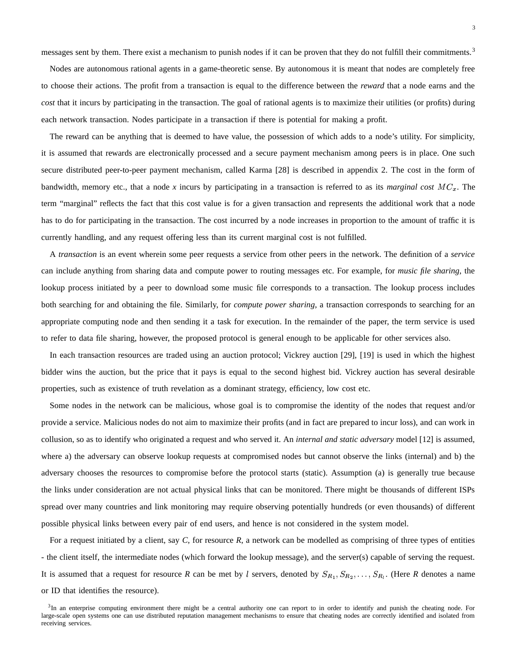messages sent by them. There exist a mechanism to punish nodes if it can be proven that they do not fulfill their commitments.<sup>3</sup>

Nodes are autonomous rational agents in a game-theoretic sense. By autonomous it is meant that nodes are completely free to choose their actions. The profit from a transaction is equal to the difference between the *reward* that a node earns and the *cost* that it incurs by participating in the transaction. The goal of rational agents is to maximize their utilities (or profits) during each network transaction. Nodes participate in a transaction if there is potential for making a profit.

The reward can be anything that is deemed to have value, the possession of which adds to a node's utility. For simplicity, it is assumed that rewards are electronically processed and a secure payment mechanism among peers is in place. One such secure distributed peer-to-peer payment mechanism, called Karma [28] is described in appendix 2. The cost in the form of bandwidth, memory etc., that a node x incurs by participating in a transaction is referred to as its *marginal cost*  $MC_x$ . The term "marginal" reflects the fact that this cost value is for a given transaction and represents the additional work that a node has to do for participating in the transaction. The cost incurred by a node increases in proportion to the amount of traffic it is currently handling, and any request offering less than its current marginal cost is not fulfilled.

A *transaction* is an event wherein some peer requests a service from other peers in the network. The definition of a *service* can include anything from sharing data and compute power to routing messages etc. For example, for *music file sharing*, the lookup process initiated by a peer to download some music file corresponds to a transaction. The lookup process includes both searching for and obtaining the file. Similarly, for *compute power sharing*, a transaction corresponds to searching for an appropriate computing node and then sending it a task for execution. In the remainder of the paper, the term service is used to refer to data file sharing, however, the proposed protocol is general enough to be applicable for other services also.

In each transaction resources are traded using an auction protocol; Vickrey auction [29], [19] is used in which the highest bidder wins the auction, but the price that it pays is equal to the second highest bid. Vickrey auction has several desirable properties, such as existence of truth revelation as a dominant strategy, efficiency, low cost etc.

Some nodes in the network can be malicious, whose goal is to compromise the identity of the nodes that request and/or provide a service. Malicious nodes do not aim to maximize their profits (and in fact are prepared to incur loss), and can work in collusion, so as to identify who originated a request and who served it. An *internal and static adversary* model [12] is assumed, where a) the adversary can observe lookup requests at compromised nodes but cannot observe the links (internal) and b) the adversary chooses the resources to compromise before the protocol starts (static). Assumption (a) is generally true because the links under consideration are not actual physical links that can be monitored. There might be thousands of different ISPs spread over many countries and link monitoring may require observing potentially hundreds (or even thousands) of different possible physical links between every pair of end users, and hence is not considered in the system model.

For a request initiated by a client, say *C*, for resource *R*, a network can be modelled as comprising of three types of entities - the client itself, the intermediate nodes (which forward the lookup message), and the server(s) capable of serving the request. It is assumed that a request for resource R can be met by l servers, denoted by  $S_{R_1}, S_{R_2}, \ldots, S_{R_l}$ . (Here R denotes a name or ID that identifies the resource).

<sup>&</sup>lt;sup>3</sup>In an enterprise computing environment there might be a central authority one can report to in order to identify and punish the cheating node. For large-scale open systems one can use distributed reputation management mechanisms to ensure that cheating nodes are correctly identified and isolated from receiving services.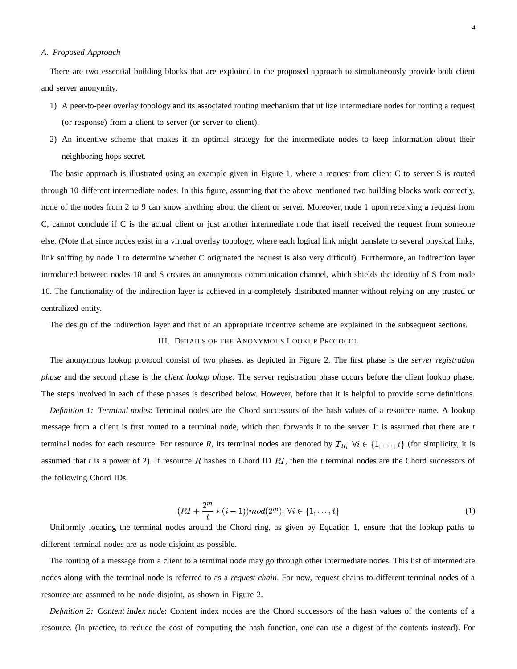# *A. Proposed Approach*

There are two essential building blocks that are exploited in the proposed approach to simultaneously provide both client and server anonymity.

- 1) A peer-to-peer overlay topology and its associated routing mechanism that utilize intermediate nodes for routing a request (or response) from a client to server (or server to client).
- 2) An incentive scheme that makes it an optimal strategy for the intermediate nodes to keep information about their neighboring hops secret.

The basic approach is illustrated using an example given in Figure 1, where a request from client C to server S is routed through 10 different intermediate nodes. In this figure, assuming that the above mentioned two building blocks work correctly, none of the nodes from 2 to 9 can know anything about the client or server. Moreover, node 1 upon receiving a request from C, cannot conclude if C is the actual client or just another intermediate node that itself received the request from someone else. (Note that since nodes exist in a virtual overlay topology, where each logical link might translate to several physical links, link sniffing by node 1 to determine whether C originated the request is also very difficult). Furthermore, an indirection layer introduced between nodes 10 and S creates an anonymous communication channel, which shields the identity of S from node 10. The functionality of the indirection layer is achieved in a completely distributed manner without relying on any trusted or centralized entity.

The design of the indirection layer and that of an appropriate incentive scheme are explained in the subsequent sections.

# III. DETAILS OF THE ANONYMOUS LOOKUP PROTOCOL

The anonymous lookup protocol consist of two phases, as depicted in Figure 2. The first phase is the *server registration phase* and the second phase is the *client lookup phase*. The server registration phase occurs before the client lookup phase. The steps involved in each of these phases is described below. However, before that it is helpful to provide some definitions.

*Definition 1:* Terminal nodes: Terminal nodes are the Chord successors of the hash values of a resource name. A lookup message from a client is first routed to a terminal node, which then forwards it to the server. It is assumed that there are *t* terminal nodes for each resource. For resource R, its terminal nodes are denoted by  $T_{R_i}$   $\forall i \in \{1, ..., t\}$  (for simplicity, it is assumed that  $t$  is a power of 2). If resource  $R$  hashes to Chord ID  $RI$ , then the  $t$  terminal nodes are the Chord successors of the following Chord IDs.

$$
(RI + \frac{2^m}{t} * (i-1)) mod(2^m), \forall i \in \{1, ..., t\}
$$
 (1)

Uniformly locating the terminal nodes around the Chord ring, as given by Equation 1, ensure that the lookup paths to different terminal nodes are as node disjoint as possible.

The routing of a message from a client to a terminal node may go through other intermediate nodes. This list of intermediate nodes along with the terminal node is referred to as a *request chain*. For now, request chains to different terminal nodes of a resource are assumed to be node disjoint, as shown in Figure 2.

*Definition 2:* Content index node: Content index nodes are the Chord successors of the hash values of the contents of a resource. (In practice, to reduce the cost of computing the hash function, one can use a digest of the contents instead). For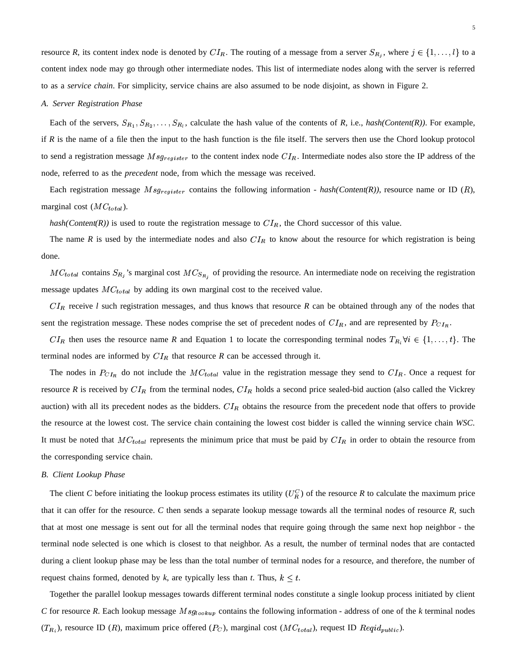resource R, its content index node is denoted by  $CI_R$ . The routing of a message from a server  $S_{R_i}$ , where  $j \in \{1, \ldots, l\}$  to a content index node may go through other intermediate nodes. This list of intermediate nodes along with the server is referred to as a *service chain*. For simplicity, service chains are also assumed to be node disjoint, as shown in Figure 2.

### *A. Server Registration Phase*

Each of the servers,  $S_{R_1}, S_{R_2}, \ldots, S_{R_l}$ , calculate the hash value of the contents of *R*, i.e., *hash(Content(R))*. For example, if *R* is the name of a file then the input to the hash function is the file itself. The servers then use the Chord lookup protocol to send a registration message  $Msg_{register}$  to the content index node  $CI_R$ . Intermediate nodes also store the IP address of the node, referred to as the *precedent* node, from which the message was received.

Each registration message  $Msg_{register}$  contains the following information -  $hash(Content(R))$ , resource name or ID (R), marginal cost  $(MC_{total})$ .

*hash(Content(R))* is used to route the registration message to  $CI_R$ , the Chord successor of this value.

The name *R* is used by the intermediate nodes and also  $CI_R$  to know about the resource for which registration is being done.

 $MC_{total}$  contains  $S_{R_i}$ 's marginal cost  $MC_{S_{R_i}}$  of providing the resource. An intermediate node on receiving the registration message updates  $MC_{total}$  by adding its own marginal cost to the received value.

 $CI_R$  receive *l* such registration messages, and thus knows that resource  $R$  can be obtained through any of the nodes that sent the registration message. These nodes comprise the set of precedent nodes of  $CI_R$ , and are represented by  $P_{CI_R}$ .

 $CI_R$  then uses the resource name *R* and Equation 1 to locate the corresponding terminal nodes  $T_{R_i} \forall i \in \{1, ..., t\}$ . The terminal nodes are informed by  $CI_R$  that resource R can be accessed through it.

The nodes in  $P_{CI_B}$  do not include the  $MC_{total}$  value in the registration message they send to  $CI_R$ . Once a request for resource *R* is received by  $CI_R$  from the terminal nodes,  $CI_R$  holds a second price sealed-bid auction (also called the Vickrey auction) with all its precedent nodes as the bidders.  $CI_R$  obtains the resource from the precedent node that offers to provide the resource at the lowest cost. The service chain containing the lowest cost bidder is called the winning service chain *WSC*. It must be noted that  $MC_{total}$  represents the minimum price that must be paid by  $CI_R$  in order to obtain the resource from the corresponding service chain.

# *B. Client Lookup Phase*

The client *C* before initiating the lookup process estimates its utility  $(U_R^C)$  of the resource *R* to calculate the maximum price that it can offer for the resource. *C* then sends a separate lookup message towards all the terminal nodes of resource *R*, such that at most one message is sent out for all the terminal nodes that require going through the same next hop neighbor - the terminal node selected is one which is closest to that neighbor. As a result, the number of terminal nodes that are contacted during a client lookup phase may be less than the total number of terminal nodes for a resource, and therefore, the number of request chains formed, denoted by  $k$ , are typically less than  $t$ . Thus,  $k \leq t$ .

Together the parallel lookup messages towards different terminal nodes constitute a single lookup process initiated by client C for resource R. Each lookup message  $Msg_{lookup}$  contains the following information - address of one of the *k* terminal nodes  $(T_{R_i})$ , resource ID  $(R)$ , maximum price offered  $(P_C)$ , marginal cost  $(MC_{total})$ , request ID  $Regid_{public}$ ).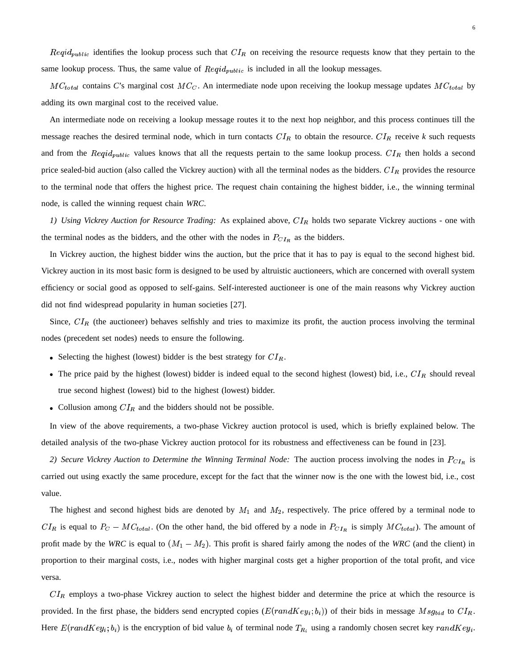$Reqid_{public}$  identifies the lookup process such that  $CI_R$  on receiving the resource requests know that they pertain to the same lookup process. Thus, the same value of  $Reqid_{public}$  is included in all the lookup messages.

 $MC_{total}$  contains C's marginal cost  $MC_C$ . An intermediate node upon receiving the lookup message updates  $MC_{total}$  by adding its own marginal cost to the received value.

An intermediate node on receiving a lookup message routes it to the next hop neighbor, and this process continues till the message reaches the desired terminal node, which in turn contacts  $CI_R$  to obtain the resource.  $CI_R$  receive *k* such requests and from the  $Regid_{public}$  values knows that all the requests pertain to the same lookup process.  $CI_R$  then holds a second price sealed-bid auction (also called the Vickrey auction) with all the terminal nodes as the bidders.  $CI_R$  provides the resource to the terminal node that offers the highest price. The request chain containing the highest bidder, i.e., the winning terminal node, is called the winning request chain *WRC*.

*1) Using Vickrey Auction for Resource Trading:* As explained above,  $CI_R$  holds two separate Vickrey auctions - one with the terminal nodes as the bidders, and the other with the nodes in  $P_{CI_R}$  as the bidders.

In Vickrey auction, the highest bidder wins the auction, but the price that it has to pay is equal to the second highest bid. Vickrey auction in its most basic form is designed to be used by altruistic auctioneers, which are concerned with overall system efficiency or social good as opposed to self-gains. Self-interested auctioneer is one of the main reasons why Vickrey auction did not find widespread popularity in human societies [27].

Since,  $CI_R$  (the auctioneer) behaves selfishly and tries to maximize its profit, the auction process involving the terminal nodes (precedent set nodes) needs to ensure the following.

- Selecting the highest (lowest) bidder is the best strategy for  $CI_R$ .
- The price paid by the highest (lowest) bidder is indeed equal to the second highest (lowest) bid, i.e.,  $CI_R$  should reveal true second highest (lowest) bid to the highest (lowest) bidder.
- Collusion among  $CI_R$  and the bidders should not be possible.

In view of the above requirements, a two-phase Vickrey auction protocol is used, which is briefly explained below. The detailed analysis of the two-phase Vickrey auction protocol for its robustness and effectiveness can be found in [23].

2) Secure Vickrey Auction to Determine the Winning Terminal Node: The auction process involving the nodes in  $P_{CI_R}$  is carried out using exactly the same procedure, except for the fact that the winner now is the one with the lowest bid, i.e., cost value.

The highest and second highest bids are denoted by  $M_1$  and  $M_2$ , respectively. The price offered by a terminal node to  $CI_R$  is equal to  $P_C - M C_{total}$ . (On the other hand, the bid offered by a node in  $P_{CI_R}$  is simply  $M C_{total}$ ). The amount of profit made by the *WRC* is equal to  $(M_1 - M_2)$ . This profit is shared fairly among the nodes of the *WRC* (and the client) in proportion to their marginal costs, i.e., nodes with higher marginal costs get a higher proportion of the total profit, and vice versa.

 $CI_R$  employs a two-phase Vickrey auction to select the highest bidder and determine the price at which the resource is provided. In the first phase, the bidders send encrypted copies ( $E(randKey_i; b_i)$ ) of their bids in message  $Msg_{bid}$  to  $CI_R$ . Here  $E(randKey_i; b_i)$  is the encryption of bid value  $b_i$  of terminal node  $T_{R_i}$  using a randomly chosen secret key  $randKey_i$ .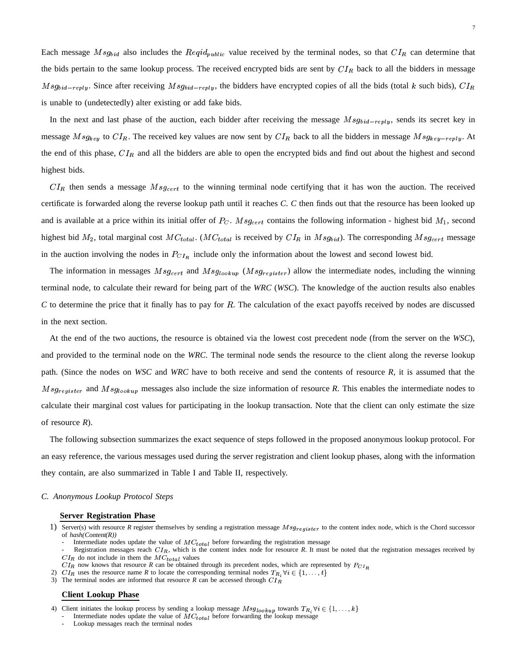Each message  $Msg_{bid}$  also includes the  $Regid_{public}$  value received by the terminal nodes, so that  $CI_R$  can determine that the bids pertain to the same lookup process. The received encrypted bids are sent by  $CI_R$  back to all the bidders in message  $Msg_{bid-reply}$ . Since after receiving  $Msg_{bid-reply}$ , the bidders have encrypted copies of all the bids (total k such bids),  $CI_R$ is unable to (undetectedly) alter existing or add fake bids.

In the next and last phase of the auction, each bidder after receiving the message  $Msg_{bid-reply}$ , sends its secret key in message  $Msg_{key}$  to  $CI_R$ . The received key values are now sent by  $CI_R$  back to all the bidders in message  $Msg_{key-reply}$ . At the end of this phase,  $CI_R$  and all the bidders are able to open the encrypted bids and find out about the highest and second highest bids.

 $CI_R$  then sends a message  $Msg_{cert}$  to the winning terminal node certifying that it has won the auction. The received certificate is forwarded along the reverse lookup path until it reaches *C*. *C* then finds out that the resource has been looked up and is available at a price within its initial offer of  $P_C$ . Msg<sub>cert</sub> contains the following information - highest bid  $M_1$ , second highest bid  $M_2$ , total marginal cost  $MC_{total}$ . ( $MC_{total}$  is received by  $CI_R$  in  $Msg_{bid}$ ). The corresponding  $Msg_{cert}$  message in the auction involving the nodes in  $P_{C I_R}$  include only the information about the lowest and second lowest bid.

The information in messages  $Msg_{cert}$  and  $Msg_{lookup}$  ( $Msg_{register}$ ) allow the intermediate nodes, including the winning terminal node, to calculate their reward for being part of the *WRC* (*WSC*). The knowledge of the auction results also enables *C* to determine the price that it finally has to pay for R. The calculation of the exact payoffs received by nodes are discussed in the next section.

At the end of the two auctions, the resource is obtained via the lowest cost precedent node (from the server on the *WSC*), and provided to the terminal node on the *WRC*. The terminal node sends the resource to the client along the reverse lookup path. (Since the nodes on *WSC* and *WRC* have to both receive and send the contents of resource *R*, it is assumed that the  $Msg_{register}$  and  $Msg_{lookup}$  messages also include the size information of resource *R*. This enables the intermediate nodes to calculate their marginal cost values for participating in the lookup transaction. Note that the client can only estimate the size of resource *R*).

The following subsection summarizes the exact sequence of steps followed in the proposed anonymous lookup protocol. For an easy reference, the various messages used during the server registration and client lookup phases, along with the information they contain, are also summarized in Table I and Table II, respectively.

#### *C. Anonymous Lookup Protocol Steps*

### **Server Registration Phase**

- 1) Server(s) with resource  $R$  register themselves by sending a registration message  $Msg_{register}$  to the content index node, which is the Chord successor of *hash(*Content*(R))*
	- Intermediate nodes update the value of  $MC_{total}$  before forwarding the registration message
	- Registration messages reach  $CI_R$ , which is the content index node for resource R. It must be noted that the registration messages received by  $CI_R$  do not include in them the  $MC_{total}$  values
	- $CI_R$  now knows that resource R can be obtained through its precedent nodes, which are represented by  $P_{CI_R}$
- 2)  $CI_R$  uses the resource name R to locate the corresponding terminal nodes  $T_{R_i} \forall i \in \{1, \ldots, t\}$
- 3) The terminal nodes are informed that resource *R* can be accessed through  $CI_R$

# **Client Lookup Phase**

- 4) Client initiates the lookup process by sending a lookup message  $Msg_{lookup}$  towards  $T_{R_i} \forall i \in \{1,\ldots,k\}$ 
	- Intermediate nodes update the value of  $MC_{total}$  before forwarding the lookup message
	- Lookup messages reach the terminal nodes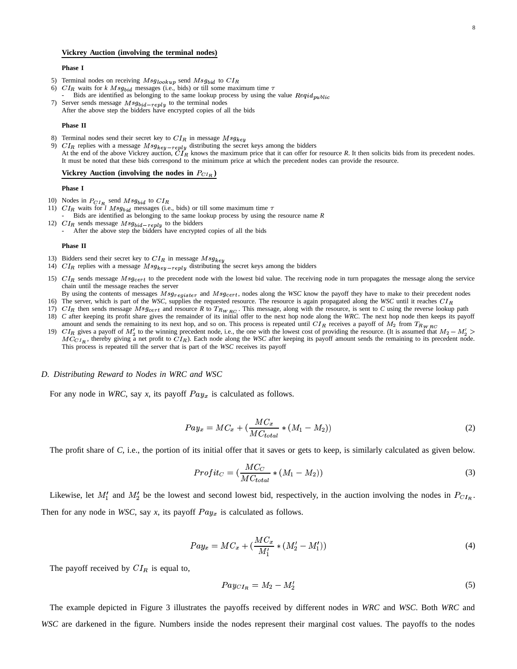#### **Vickrey Auction (involving the terminal nodes)**

### **Phase I**

- 5) Terminal nodes on receiving  $M \nsubseteq_{loop}$  send  $M \nsubseteq_{big}$  to  $CI_R$
- 6)  $CI_R$  waits for *k*  $Msg_{bid}$  messages (i.e., bids) or till some maximum time  $\tau$
- Bids are identified as belonging to the same lookup process by using the value  $Regid_{public}$ 7) Server sends message  $Msg_{bid-reply}$  to the terminal nodes
- After the above step the bidders have encrypted copies of all the bids

#### **Phase II**

- 8) Terminal nodes send their secret key to  $CI_R$  in message  $Msg_{key}$
- 9)  $CI_R$  replies with a message  $Msg_{keq-revly}$  distributing the secret keys among the bidders
- At the end of the above Vickrey auction,  $CI_R$  knows the maximum price that it can offer for resource R. It then solicits bids from its precedent nodes. It must be noted that these bids correspond to the minimum price at which the precedent nodes can provide the resource.

#### **Vickrey** Auction (involving the nodes in  $P_{CI_B}$ )

#### **Phase I**

- 10) Nodes in  $P_{CI_R}$  send  $Msg_{bid}$  to  $CI_R$
- 11)  $CI_R$  waits for *l* Msg<sub>bid</sub> messages (i.e., bids) or till some maximum time  $\tau$
- Bids are identified as belonging to the same lookup process by using the resource name *R* 12)  $CI_R$  sends message  $Msg_{bid-reply}$  to the bidders
- After the above step the bidders have encrypted copies of all the bids

#### **Phase II**

- 13) Bidders send their secret key to  $CI_R$  in message  $Msg_{key}$
- 14)  $CI_R$  replies with a message  $Msg_{key-reply}$  distributing the secret keys among the bidders
- 15)  $CI_R$  sends message  $Msg_{cert}$  to the precedent node with the lowest bid value. The receiving node in turn propagates the message along the service chain until the message reaches the server
- By using the contents of messages Msg<sub>reaister</sub> and Msg<sub>cert</sub>, nodes along the WSC know the payoff they have to make to their precedent nodes
- 16) The server, which is part of the *WSC*, supplies the requested resource. The resource is again propagated along the *WSC* until it reaches  $CI<sub>R</sub>$
- 17)  $CI_R$  then sends message  $Msg_{cert}$  and resource R to  $T_{RWRC}$ . This message, along with the resource, is sent to C using the reverse lookup path
- 18) *C* after keeping its profit share gives the remainder of its initial offer to the next hop node along the *WRC*. The next hop node then keeps its payoff amount and sends the remaining to its next hop, and so on. This process is repeated until  $CI_R$  receives a payoff of  $M_2$  from  $T_{RWRC}$
- 19)  $CI_R$  gives a payoff of  $M_2'$  to the winning precedent node, i.e., the one with the lowest cost of providing the resource. (It is assumed that  $M_2 M_2'$ )  $M C_{CI_R}$ , thereby giving a net profit to  $CI_R$ ). Each node along the *WSC* after keeping its payoff amount sends the remaining to its precedent node. This process is repeated till the server that is part of the *WSC* receives its payoff

#### *D. Distributing Reward to Nodes in WRC and WSC*

For any node in *WRC*, say *x*, its payoff  $Pay_x$  is calculated as follows.

$$
Pay_x = MC_x + \left(\frac{MC_x}{MC_{total}} * (M_1 - M_2)\right)
$$
\n<sup>(2)</sup>

The profit share of *C*, i.e., the portion of its initial offer that it saves or gets to keep, is similarly calculated as given below.

$$
Profit_C = (\frac{MC_C}{MC_{total}} * (M_1 - M_2))
$$
\n(3)

Likewise, let  $M'_1$  and  $M'_2$  be the lowest and second lowest bid, respectively, in the auction involving the nodes in  $P_{CI_B}$ . Then for any node in *WSC*, say *x*, its payoff  $Pay_x$  is calculated as follows.

$$
Pay_{x} = MC_{x} + (\frac{MC_{x}}{M'_{1}} * (M'_{2} - M'_{1}))
$$
\n(4)

The payoff received by  $CI_R$  is equal to,

$$
Pay_{CI_R} = M_2 - M_2' \tag{5}
$$

The example depicted in Figure 3 illustrates the payoffs received by different nodes in *WRC* and *WSC*. Both *WRC* and *WSC* are darkened in the figure. Numbers inside the nodes represent their marginal cost values. The payoffs to the nodes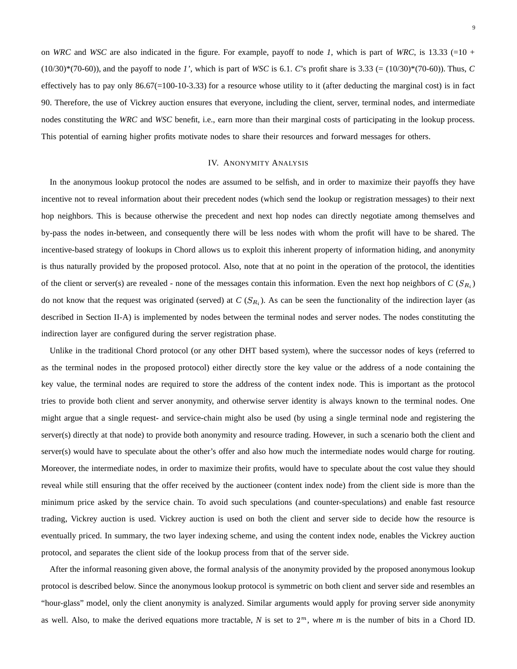on *WRC* and *WSC* are also indicated in the figure. For example, payoff to node 1, which is part of *WRC*, is 13.33 (=10 +  $(10/30)*(70-60)$ , and the payoff to node *1'*, which is part of *WSC* is 6.1. *C*'s profit share is 3.33 (=  $(10/30)*(70-60)$ ). Thus, *C* effectively has to pay only  $86.67(=100-10-3.33)$  for a resource whose utility to it (after deducting the marginal cost) is in fact 90. Therefore, the use of Vickrey auction ensures that everyone, including the client, server, terminal nodes, and intermediate nodes constituting the *WRC* and *WSC* benefit, i.e., earn more than their marginal costs of participating in the lookup process. This potential of earning higher profits motivate nodes to share their resources and forward messages for others.

# IV. ANONYMITY ANALYSIS

In the anonymous lookup protocol the nodes are assumed to be selfish, and in order to maximize their payoffs they have incentive not to reveal information about their precedent nodes (which send the lookup or registration messages) to their next hop neighbors. This is because otherwise the precedent and next hop nodes can directly negotiate among themselves and by-pass the nodes in-between, and consequently there will be less nodes with whom the profit will have to be shared. The incentive-based strategy of lookups in Chord allows us to exploit this inherent property of information hiding, and anonymity is thus naturally provided by the proposed protocol. Also, note that at no point in the operation of the protocol, the identities of the client or server(s) are revealed - none of the messages contain this information. Even the next hop neighbors of  $C(S_{R_i})$ do not know that the request was originated (served) at  $C(S_{R_i})$ . As can be seen the functionality of the indirection layer (as described in Section II-A) is implemented by nodes between the terminal nodes and server nodes. The nodes constituting the indirection layer are configured during the server registration phase.

Unlike in the traditional Chord protocol (or any other DHT based system), where the successor nodes of keys (referred to as the terminal nodes in the proposed protocol) either directly store the key value or the address of a node containing the key value, the terminal nodes are required to store the address of the content index node. This is important as the protocol tries to provide both client and server anonymity, and otherwise server identity is always known to the terminal nodes. One might argue that a single request- and service-chain might also be used (by using a single terminal node and registering the server(s) directly at that node) to provide both anonymity and resource trading. However, in such a scenario both the client and server(s) would have to speculate about the other's offer and also how much the intermediate nodes would charge for routing. Moreover, the intermediate nodes, in order to maximize their profits, would have to speculate about the cost value they should reveal while still ensuring that the offer received by the auctioneer (content index node) from the client side is more than the minimum price asked by the service chain. To avoid such speculations (and counter-speculations) and enable fast resource trading, Vickrey auction is used. Vickrey auction is used on both the client and server side to decide how the resource is eventually priced. In summary, the two layer indexing scheme, and using the content index node, enables the Vickrey auction protocol, and separates the client side of the lookup process from that of the server side.

After the informal reasoning given above, the formal analysis of the anonymity provided by the proposed anonymous lookup protocol is described below. Since the anonymous lookup protocol is symmetric on both client and server side and resembles an "hour-glass" model, only the client anonymity is analyzed. Similar arguments would apply for proving server side anonymity as well. Also, to make the derived equations more tractable,  $N$  is set to  $2^m$ , where  $m$  is the number of bits in a Chord ID.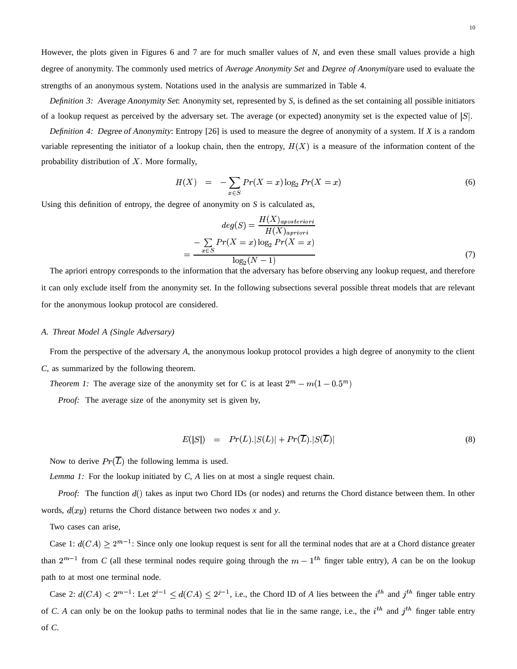However, the plots given in Figures 6 and 7 are for much smaller values of  $N$ , and even these small values provide a high degree of anonymity. The commonly used metrics of Average Anonymity Set and Degree of Anonymityare used to evaluate the strengths of an anonymous system. Notations used in the analysis are summarized in Table 4.

Definition 3: Average Anonymity Set: Anonymity set, represented by S, is defined as the set containing all possible initiators of a lookup request as perceived by the adversary set. The average (or expected) anonymity set is the expected value of  $|S|$ .

*Definition 4:* Degree of Anonymity: Entropy [26] is used to measure the degree of anonymity of a system. If X is a random variable representing the initiator of a lookup chain, then the entropy,  $H(X)$  is a measure of the information content of the probability distribution of  $X$ . More formally,

$$
H(X) = -\sum_{x \in S} Pr(X = x) \log_2 Pr(X = x)
$$
\n(6)

Using this definition of entropy, the degree of anonymity on  $S$  is calculated as,

$$
deg(S) = \frac{H(X)_{aposteriori}}{H(X)_{apriori}}
$$
  

$$
- \sum_{x \in S} Pr(X = x) \log_2 Pr(X = x)
$$
  

$$
\log_2(N - 1)
$$
 (7)

The apriori entropy corresponds to the information that the adversary has before observing any lookup request, and therefore it can only exclude itself from the anonymity set. In the following subsections several possible threat models that are relevant for the anonymous lookup protocol are considered.

# A. Threat Model A (Single Adversary)

From the perspective of the adversary A, the anonymous lookup protocol provides a high degree of anonymity to the client  $C$ , as summarized by the following theorem.

*Theorem 1:* The average size of the anonymity set for C is at least  $2^m - m(1 - 0.5^m)$ 

*Proof:* The average size of the anonymity set is given by,

$$
E(|S|) = Pr(L).|S(L)| + Pr(\overline{L}).|S(\overline{L})|
$$
\n(8)

Now to derive  $Pr(\overline{L})$  the following lemma is used.

*Lemma 1:* For the lookup initiated by  $C$ ,  $A$  lies on at most a single request chain.

*Proof:* The function  $d()$  takes as input two Chord IDs (or nodes) and returns the Chord distance between them. In other words,  $d(xy)$  returns the Chord distance between two nodes x and y.

Two cases can arise.

Case 1:  $d(CA) \geq 2^{m-1}$ : Since only one lookup request is sent for all the terminal nodes that are at a Chord distance greater than  $2^{m-1}$  from C (all these terminal nodes require going through the  $m-1^{th}$  finger table entry). A can be on the lookup path to at most one terminal node.

Case 2:  $d(CA) < 2^{m-1}$ : Let  $2^{i-1} \leq d(CA) \leq 2^{j-1}$ , i.e., the Chord ID of A lies between the *i*<sup>th</sup> and *j*<sup>th</sup> finger table entry of C. A can only be on the lookup paths to terminal nodes that lie in the same range, i.e., the  $i^{th}$  and  $j^{th}$  finger table entry of  $C$ .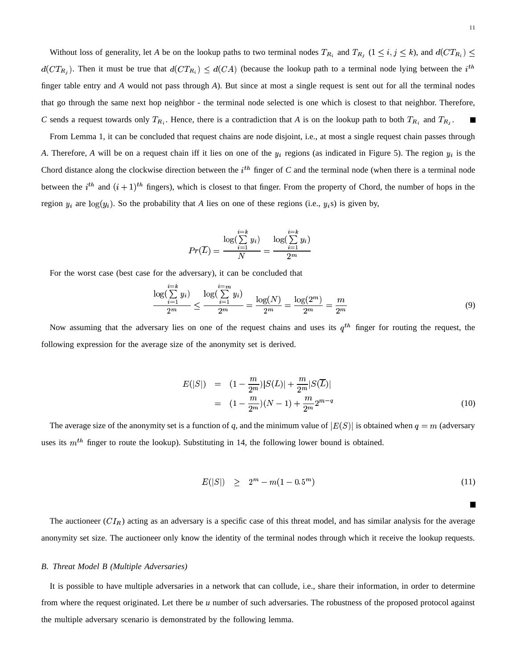Without loss of generality, let A be on the lookup paths to two terminal nodes  $T_{R_i}$  and  $T_{R_j}$  ( $1 \le i, j \le k$ ), and  $d(CT_{R_i}) \le$  $d(CT_{R_i})$ . Then it must be true that  $d(CT_{R_i}) \leq d(CA)$  (because the lookup path to a terminal node lying between the i<sup>th</sup> finger table entry and A would not pass through A). But since at most a single request is sent out for all the terminal nodes that go through the same next hop neighbor - the terminal node selected is one which is closest to that neighbor. Therefore, C sends a request towards only  $T_{R_i}$ . Hence, there is a contradiction that A is on the lookup path to both  $T_{R_i}$  and  $T_{R_j}$ .

From Lemma 1, it can be concluded that request chains are node disjoint, i.e., at most a single request chain passes through A. Therefore, A will be on a request chain iff it lies on one of the  $y_i$  regions (as indicated in Figure 5). The region  $y_i$  is the Chord distance along the clockwise direction between the  $i^{th}$  finger of C and the terminal node (when there is a terminal node between the  $i^{th}$  and  $(i + 1)^{th}$  fingers), which is closest to that finger. From the property of Chord, the number of hops in the region  $y_i$  are  $\log(y_i)$ . So the probability that A lies on one of these regions (i.e.,  $y_i$ s) is given by,

$$
Pr(\overline{L}) = \frac{\log(\sum_{i=1}^{i=k} y_i)}{N} = \frac{\log(\sum_{i=1}^{i=k} y_i)}{2^m}
$$

For the worst case (best case for the adversary), it can be concluded that

$$
\frac{\log(\sum_{i=1}^{i=k} y_i)}{2^m} \le \frac{\log(\sum_{i=1}^{i=m} y_i)}{2^m} = \frac{\log(N)}{2^m} = \frac{\log(2^m)}{2^m} = \frac{m}{2^m} \tag{9}
$$

Now assuming that the adversary lies on one of the request chains and uses its  $q^{th}$  finger for routing the request, the following expression for the average size of the anonymity set is derived.

$$
E(|S|) = (1 - \frac{m}{2m})|S(L)| + \frac{m}{2m}|S(\overline{L})|
$$
  
= 
$$
(1 - \frac{m}{2m})(N - 1) + \frac{m}{2m}2^{m-q}
$$
 (10)

The average size of the anonymity set is a function of q, and the minimum value of  $|E(S)|$  is obtained when  $q = m$  (adversary uses its  $m^{th}$  finger to route the lookup). Substituting in 14, the following lower bound is obtained.

$$
E(|S|) \geq 2^m - m(1 - 0.5^m) \tag{11}
$$

The auctioneer  $(CI_R)$  acting as an adversary is a specific case of this threat model, and has similar analysis for the average anonymity set size. The auctioneer only know the identity of the terminal nodes through which it receive the lookup requests.

### **B.** Threat Model B (Multiple Adversaries)

It is possible to have multiple adversaries in a network that can collude, i.e., share their information, in order to determine from where the request originated. Let there be  $u$  number of such adversaries. The robustness of the proposed protocol against the multiple adversary scenario is demonstrated by the following lemma.

Г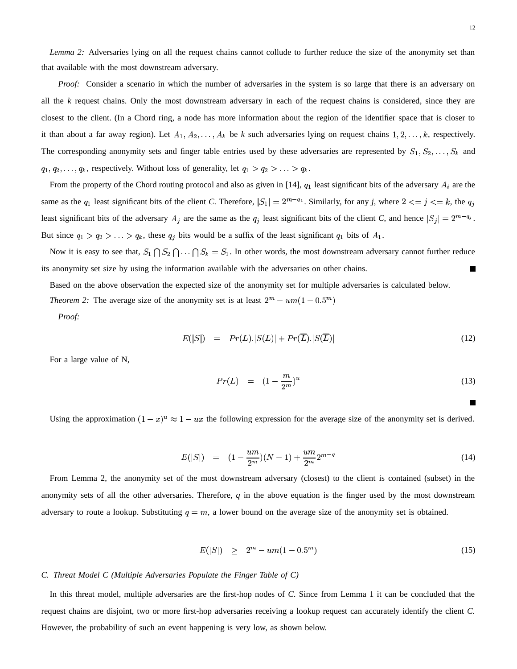*Lemma 2:* Adversaries lying on all the request chains cannot collude to further reduce the size of the anonymity set than that available with the most downstream adversary.

*Proof:* Consider a scenario in which the number of adversaries in the system is so large that there is an adversary on all the  $k$  request chains. Only the most downstream adversary in each of the request chains is considered, since they are closest to the client. (In a Chord ring, a node has more information about the region of the identifier space that is closer to it than about a far away region). Let  $A_1, A_2, \ldots, A_k$  be k such adversaries lying on request chains  $1, 2, \ldots, k$ , respectively. The corresponding anonymity sets and finger table entries used by these adversaries are represented by  $S_1, S_2, \ldots, S_k$  and  $q_1, q_2, \ldots, q_k$ , respectively. Without loss of generality, let  $q_1 > q_2 > \ldots > q_k$ .

From the property of the Chord routing protocol and also as given in [14],  $q_1$  least significant bits of the adversary  $A_i$  are the same as the  $q_1$  least significant bits of the client C. Therefore,  $|S_1| = 2^{m-q_1}$ . Similarly, for any j, where  $2 \leq j \leq k$ , the  $q_j$ least significant bits of the adversary  $A_j$  are the same as the  $q_j$  least significant bits of the client C, and hence  $|S_j| = 2^{m-q_j}$ . But since  $q_1 > q_2 > \ldots > q_k$ , these  $q_j$  bits would be a suffix of the least significant  $q_1$  bits of  $A_1$ .

Now it is easy to see that,  $S_1 \cap S_2 \cap \ldots \cap S_k = S_1$ . In other words, the most downstream adversary cannot further reduce its anonymity set size by using the information available with the adversaries on other chains.

Based on the above observation the expected size of the anonymity set for multiple adversaries is calculated below.

*Theorem 2:* The average size of the anonymity set is at least  $2^m - um(1 - 0.5^m)$ 

Proof:

$$
E(|S|) = Pr(L).|S(L)| + Pr(\overline{L}).|S(\overline{L})|
$$
\n(12)

For a large value of N,

$$
Pr(L) = (1 - \frac{m}{2^m})^u
$$
 (13)

Using the approximation  $(1-x)^u \approx 1 - ux$  the following expression for the average size of the anonymity set is derived.

$$
E(|S|) = (1 - \frac{um}{2^m})(N-1) + \frac{um}{2^m}2^{m-q}
$$
\n(14)

From Lemma 2, the anonymity set of the most downstream adversary (closest) to the client is contained (subset) in the anonymity sets of all the other adversaries. Therefore,  $q$  in the above equation is the finger used by the most downstream adversary to route a lookup. Substituting  $q = m$ , a lower bound on the average size of the anonymity set is obtained.

$$
E(|S|) \geq 2^m - um(1 - 0.5^m) \tag{15}
$$

### C. Threat Model C (Multiple Adversaries Populate the Finger Table of  $C$ )

In this threat model, multiple adversaries are the first-hop nodes of C. Since from Lemma 1 it can be concluded that the request chains are disjoint, two or more first-hop adversaries receiving a lookup request can accurately identify the client C. However, the probability of such an event happening is very low, as shown below.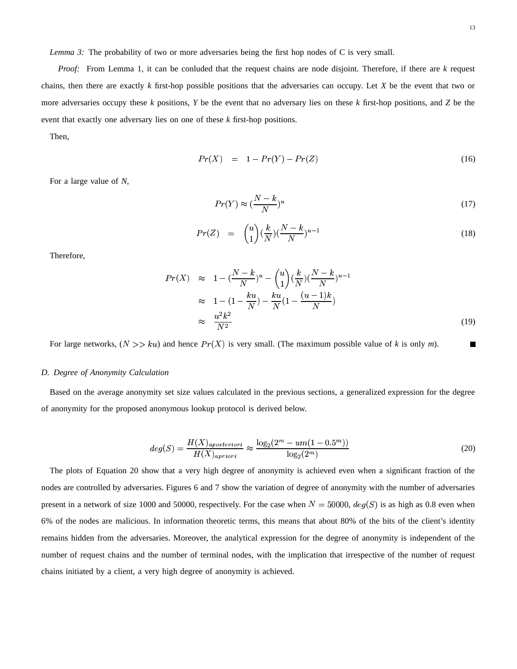*Proof:* From Lemma 1, it can be conluded that the request chains are node disjoint. Therefore, if there are k request chains, then there are exactly  $k$  first-hop possible positions that the adversaries can occupy. Let  $X$  be the event that two or more adversaries occupy these  $k$  positions,  $Y$  be the event that no adversary lies on these  $k$  first-hop positions, and  $Z$  be the event that exactly one adversary lies on one of these  $k$  first-hop positions.

Then,

$$
Pr(X) = 1 - Pr(Y) - Pr(Z)
$$
 (16)

For a large value of  $N$ ,

$$
Pr(Y) \approx \left(\frac{N-k}{N}\right)^u \tag{17}
$$

$$
Pr(Z) = {u \choose 1} \left(\frac{k}{N}\right) \left(\frac{N-k}{N}\right)^{u-1} \tag{18}
$$

Therefore,

$$
Pr(X) \approx 1 - (\frac{N-k}{N})^u - {u \choose 1} (\frac{k}{N})(\frac{N-k}{N})^{u-1}
$$
  
\n
$$
\approx 1 - (1 - \frac{ku}{N}) - \frac{ku}{N}(1 - \frac{(u-1)k}{N})
$$
  
\n
$$
\approx \frac{u^2k^2}{N^2}
$$
 (19)

For large networks,  $(N \gg ku)$  and hence  $Pr(X)$  is very small. (The maximum possible value of k is only m).

# D. Degree of Anonymity Calculation

Based on the average anonymity set size values calculated in the previous sections, a generalized expression for the degree of anonymity for the proposed anonymous lookup protocol is derived below.

$$
deg(S) = \frac{H(X)_{\text{aposteriori}}}{H(X)_{\text{apriori}}} \approx \frac{\log_2(2^m - um(1 - 0.5^m))}{\log_2(2^m)}\tag{20}
$$

The plots of Equation 20 show that a very high degree of anonymity is achieved even when a significant fraction of the nodes are controlled by adversaries. Figures 6 and 7 show the variation of degree of anonymity with the number of adversaries present in a network of size 1000 and 50000, respectively. For the case when  $N = 50000$ ,  $deg(S)$  is as high as 0.8 even when 6% of the nodes are malicious. In information theoretic terms, this means that about 80% of the bits of the client's identity remains hidden from the adversaries. Moreover, the analytical expression for the degree of anonymity is independent of the number of request chains and the number of terminal nodes, with the implication that irrespective of the number of request chains initiated by a client, a very high degree of anonymity is achieved.

г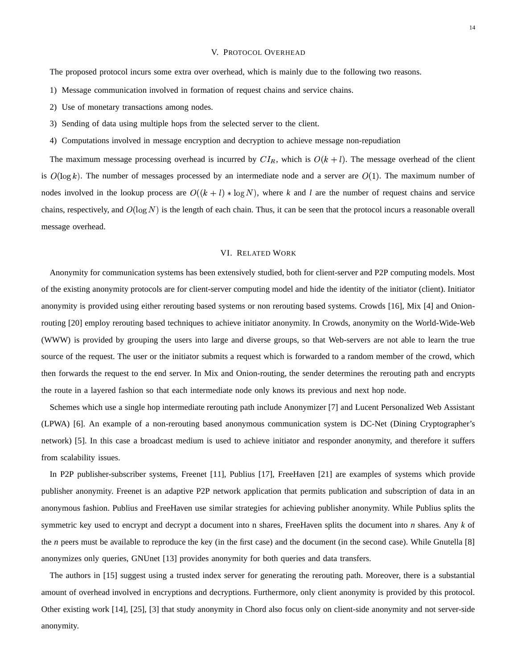### V. PROTOCOL OVERHEAD

The proposed protocol incurs some extra over overhead, which is mainly due to the following two reasons.

- 1) Message communication involved in formation of request chains and service chains.
- 2) Use of monetary transactions among nodes.
- 3) Sending of data using multiple hops from the selected server to the client.
- 4) Computations involved in message encryption and decryption to achieve message non-repudiation

The maximum message processing overhead is incurred by  $CI_R$ , which is  $O(k+l)$ . The message overhead of the client is  $O(\log k)$ . The number of messages processed by an intermediate node and a server are  $O(1)$ . The maximum number of nodes involved in the lookup process are  $O((k+l)*\log N)$ , where *k* and *l* are the number of request chains and service chains, respectively, and  $O(\log N)$  is the length of each chain. Thus, it can be seen that the protocol incurs a reasonable overall message overhead.

# VI. RELATED WORK

Anonymity for communication systems has been extensively studied, both for client-server and P2P computing models. Most of the existing anonymity protocols are for client-server computing model and hide the identity of the initiator (client). Initiator anonymity is provided using either rerouting based systems or non rerouting based systems. Crowds [16], Mix [4] and Onionrouting [20] employ rerouting based techniques to achieve initiator anonymity. In Crowds, anonymity on the World-Wide-Web (WWW) is provided by grouping the users into large and diverse groups, so that Web-servers are not able to learn the true source of the request. The user or the initiator submits a request which is forwarded to a random member of the crowd, which then forwards the request to the end server. In Mix and Onion-routing, the sender determines the rerouting path and encrypts the route in a layered fashion so that each intermediate node only knows its previous and next hop node.

Schemes which use a single hop intermediate rerouting path include Anonymizer [7] and Lucent Personalized Web Assistant (LPWA) [6]. An example of a non-rerouting based anonymous communication system is DC-Net (Dining Cryptographer's network) [5]. In this case a broadcast medium is used to achieve initiator and responder anonymity, and therefore it suffers from scalability issues.

In P2P publisher-subscriber systems, Freenet [11], Publius [17], FreeHaven [21] are examples of systems which provide publisher anonymity. Freenet is an adaptive P2P network application that permits publication and subscription of data in an anonymous fashion. Publius and FreeHaven use similar strategies for achieving publisher anonymity. While Publius splits the symmetric key used to encrypt and decrypt a document into n shares, FreeHaven splits the document into *n* shares. Any *k* of the *n* peers must be available to reproduce the key (in the first case) and the document (in the second case). While Gnutella [8] anonymizes only queries, GNUnet [13] provides anonymity for both queries and data transfers.

The authors in [15] suggest using a trusted index server for generating the rerouting path. Moreover, there is a substantial amount of overhead involved in encryptions and decryptions. Furthermore, only client anonymity is provided by this protocol. Other existing work [14], [25], [3] that study anonymity in Chord also focus only on client-side anonymity and not server-side anonymity.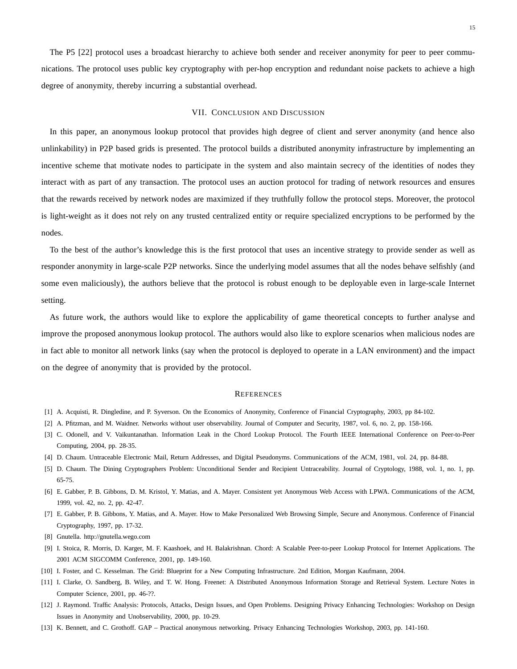The P5 [22] protocol uses a broadcast hierarchy to achieve both sender and receiver anonymity for peer to peer communications. The protocol uses public key cryptography with per-hop encryption and redundant noise packets to achieve a high degree of anonymity, thereby incurring a substantial overhead.

### VII. CONCLUSION AND DISCUSSION

In this paper, an anonymous lookup protocol that provides high degree of client and server anonymity (and hence also unlinkability) in P2P based grids is presented. The protocol builds a distributed anonymity infrastructure by implementing an incentive scheme that motivate nodes to participate in the system and also maintain secrecy of the identities of nodes they interact with as part of any transaction. The protocol uses an auction protocol for trading of network resources and ensures that the rewards received by network nodes are maximized if they truthfully follow the protocol steps. Moreover, the protocol is light-weight as it does not rely on any trusted centralized entity or require specialized encryptions to be performed by the nodes.

To the best of the author's knowledge this is the first protocol that uses an incentive strategy to provide sender as well as responder anonymity in large-scale P2P networks. Since the underlying model assumes that all the nodes behave selfishly (and some even maliciously), the authors believe that the protocol is robust enough to be deployable even in large-scale Internet setting.

As future work, the authors would like to explore the applicability of game theoretical concepts to further analyse and improve the proposed anonymous lookup protocol. The authors would also like to explore scenarios when malicious nodes are in fact able to monitor all network links (say when the protocol is deployed to operate in a LAN environment) and the impact on the degree of anonymity that is provided by the protocol.

#### **REFERENCES**

- [1] A. Acquisti, R. Dingledine, and P. Syverson. On the Economics of Anonymity, Conference of Financial Cryptography, 2003, pp 84-102.
- [2] A. Pfitzman, and M. Waidner. Networks without user observability. Journal of Computer and Security, 1987, vol. 6, no. 2, pp. 158-166.
- [3] C. Odonell, and V. Vaikuntanathan. Information Leak in the Chord Lookup Protocol. The Fourth IEEE International Conference on Peer-to-Peer Computing, 2004, pp. 28-35.
- [4] D. Chaum. Untraceable Electronic Mail, Return Addresses, and Digital Pseudonyms. Communications of the ACM, 1981, vol. 24, pp. 84-88.
- [5] D. Chaum. The Dining Cryptographers Problem: Unconditional Sender and Recipient Untraceability. Journal of Cryptology, 1988, vol. 1, no. 1, pp. 65-75.
- [6] E. Gabber, P. B. Gibbons, D. M. Kristol, Y. Matias, and A. Mayer. Consistent yet Anonymous Web Access with LPWA. Communications of the ACM, 1999, vol. 42, no. 2, pp. 42-47.
- [7] E. Gabber, P. B. Gibbons, Y. Matias, and A. Mayer. How to Make Personalized Web Browsing Simple, Secure and Anonymous. Conference of Financial Cryptography, 1997, pp. 17-32.
- [8] Gnutella. http://gnutella.wego.com
- [9] I. Stoica, R. Morris, D. Karger, M. F. Kaashoek, and H. Balakrishnan. Chord: A Scalable Peer-to-peer Lookup Protocol for Internet Applications. The 2001 ACM SIGCOMM Conference, 2001, pp. 149-160.
- [10] I. Foster, and C. Kesselman. The Grid: Blueprint for a New Computing Infrastructure. 2nd Edition, Morgan Kaufmann, 2004.
- [11] I. Clarke, O. Sandberg, B. Wiley, and T. W. Hong. Freenet: A Distributed Anonymous Information Storage and Retrieval System. Lecture Notes in Computer Science, 2001, pp. 46-??.
- [12] J. Raymond. Traffic Analysis: Protocols, Attacks, Design Issues, and Open Problems. Designing Privacy Enhancing Technologies: Workshop on Design Issues in Anonymity and Unobservability, 2000, pp. 10-29.
- [13] K. Bennett, and C. Grothoff. GAP Practical anonymous networking. Privacy Enhancing Technologies Workshop, 2003, pp. 141-160.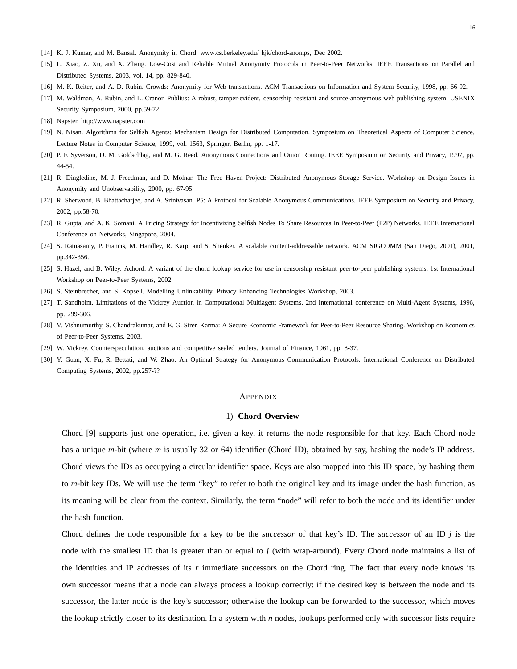- [14] K. J. Kumar, and M. Bansal. Anonymity in Chord. www.cs.berkeley.edu/ kjk/chord-anon.ps, Dec 2002.
- [15] L. Xiao, Z. Xu, and X. Zhang. Low-Cost and Reliable Mutual Anonymity Protocols in Peer-to-Peer Networks. IEEE Transactions on Parallel and Distributed Systems, 2003, vol. 14, pp. 829-840.
- [16] M. K. Reiter, and A. D. Rubin. Crowds: Anonymity for Web transactions. ACM Transactions on Information and System Security, 1998, pp. 66-92.
- [17] M. Waldman, A. Rubin, and L. Cranor. Publius: A robust, tamper-evident, censorship resistant and source-anonymous web publishing system. USENIX Security Symposium, 2000, pp.59-72.
- [18] Napster. http://www.napster.com
- [19] N. Nisan. Algorithms for Selfish Agents: Mechanism Design for Distributed Computation. Symposium on Theoretical Aspects of Computer Science, Lecture Notes in Computer Science, 1999, vol. 1563, Springer, Berlin, pp. 1-17.
- [20] P. F. Syverson, D. M. Goldschlag, and M. G. Reed. Anonymous Connections and Onion Routing. IEEE Symposium on Security and Privacy, 1997, pp. 44-54.
- [21] R. Dingledine, M. J. Freedman, and D. Molnar. The Free Haven Project: Distributed Anonymous Storage Service. Workshop on Design Issues in Anonymity and Unobservability, 2000, pp. 67-95.
- [22] R. Sherwood, B. Bhattacharjee, and A. Srinivasan. P5: A Protocol for Scalable Anonymous Communications. IEEE Symposium on Security and Privacy, 2002, pp.58-70.
- [23] R. Gupta, and A. K. Somani. A Pricing Strategy for Incentivizing Selfish Nodes To Share Resources In Peer-to-Peer (P2P) Networks. IEEE International Conference on Networks, Singapore, 2004.
- [24] S. Ratnasamy, P. Francis, M. Handley, R. Karp, and S. Shenker. A scalable content-addressable network. ACM SIGCOMM (San Diego, 2001), 2001, pp.342-356.
- [25] S. Hazel, and B. Wiley. Achord: A variant of the chord lookup service for use in censorship resistant peer-to-peer publishing systems. 1st International Workshop on Peer-to-Peer Systems, 2002.
- [26] S. Steinbrecher, and S. Kopsell. Modelling Unlinkability. Privacy Enhancing Technologies Workshop, 2003.
- [27] T. Sandholm. Limitations of the Vickrey Auction in Computational Multiagent Systems. 2nd International conference on Multi-Agent Systems, 1996, pp. 299-306.
- [28] V. Vishnumurthy, S. Chandrakumar, and E. G. Sirer. Karma: A Secure Economic Framework for Peer-to-Peer Resource Sharing. Workshop on Economics of Peer-to-Peer Systems, 2003.
- [29] W. Vickrey. Counterspeculation, auctions and competitive sealed tenders. Journal of Finance, 1961, pp. 8-37.
- [30] Y. Guan, X. Fu, R. Bettati, and W. Zhao. An Optimal Strategy for Anonymous Communication Protocols. International Conference on Distributed Computing Systems, 2002, pp.257-??

#### APPENDIX

# 1) **Chord Overview**

Chord [9] supports just one operation, i.e. given a key, it returns the node responsible for that key. Each Chord node has a unique *m*-bit (where *m* is usually 32 or 64) identifier (Chord ID), obtained by say, hashing the node's IP address. Chord views the IDs as occupying a circular identifier space. Keys are also mapped into this ID space, by hashing them to *m*-bit key IDs. We will use the term "key" to refer to both the original key and its image under the hash function, as its meaning will be clear from the context. Similarly, the term "node" will refer to both the node and its identifier under the hash function.

Chord defines the node responsible for a key to be the *successor* of that key's ID. The *successor* of an ID *j* is the node with the smallest ID that is greater than or equal to *j* (with wrap-around). Every Chord node maintains a list of the identities and IP addresses of its *r* immediate successors on the Chord ring. The fact that every node knows its own successor means that a node can always process a lookup correctly: if the desired key is between the node and its successor, the latter node is the key's successor; otherwise the lookup can be forwarded to the successor, which moves the lookup strictly closer to its destination. In a system with *n* nodes, lookups performed only with successor lists require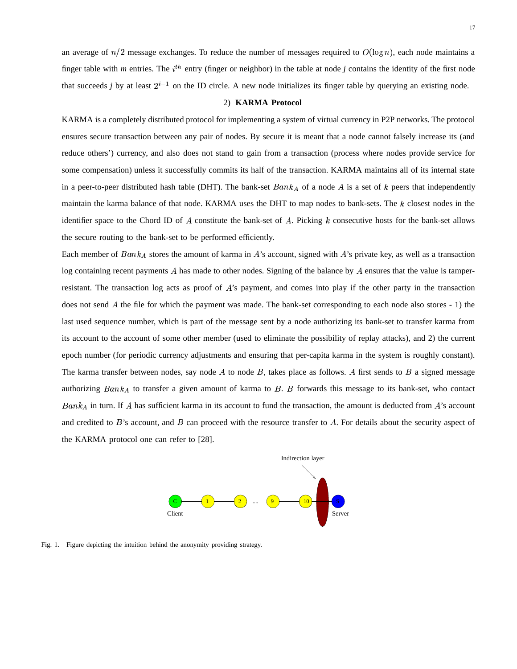an average of  $n/2$  message exchanges. To reduce the number of messages required to  $O(\log n)$ , each node maintains a finger table with *m* entries. The  $i<sup>th</sup>$  entry (finger or neighbor) in the table at node *j* contains the identity of the first node that succeeds *j* by at least  $2^{i-1}$  on the ID circle. A new node initializes its finger table by querying an existing node.

# 2) **KARMA Protocol**

KARMA is a completely distributed protocol for implementing a system of virtual currency in P2P networks. The protocol ensures secure transaction between any pair of nodes. By secure it is meant that a node cannot falsely increase its (and reduce others') currency, and also does not stand to gain from a transaction (process where nodes provide service for some compensation) unless it successfully commits its half of the transaction. KARMA maintains all of its internal state in a peer-to-peer distributed hash table (DHT). The bank-set  $Bank_A$  of a node A is a set of k peers that independently maintain the karma balance of that node. KARMA uses the DHT to map nodes to bank-sets. The  $k$  closest nodes in the identifier space to the Chord ID of  $\hat{A}$  constitute the bank-set of  $\hat{A}$ . Picking  $k$  consecutive hosts for the bank-set allows the secure routing to the bank-set to be performed efficiently.

Each member of  $Bank_A$  stores the amount of karma in  $A$ 's account, signed with  $A$ 's private key, as well as a transaction log containing recent payments  $\vec{A}$  has made to other nodes. Signing of the balance by  $\vec{A}$  ensures that the value is tamperresistant. The transaction log acts as proof of A's payment, and comes into play if the other party in the transaction does not send A the file for which the payment was made. The bank-set corresponding to each node also stores - 1) the last used sequence number, which is part of the message sent by a node authorizing its bank-set to transfer karma from its account to the account of some other member (used to eliminate the possibility of replay attacks), and 2) the current epoch number (for periodic currency adjustments and ensuring that per-capita karma in the system is roughly constant). The karma transfer between nodes, say node  $A$  to node  $B$ , takes place as follows.  $\overline{A}$  first sends to  $\overline{B}$  a signed message authorizing  $Bank_A$  to transfer a given amount of karma to  $B$ .  $B$  forwards this message to its bank-set, who contact  $Bank_A$  in turn. If A has sufficient karma in its account to fund the transaction, the amount is deducted from A's account and credited to  $B$ 's account, and  $B$  can proceed with the resource transfer to  $A$ . For details about the security aspect of the KARMA protocol one can refer to [28].



Fig. 1. Figure depicting the intuition behind the anonymity providing strategy.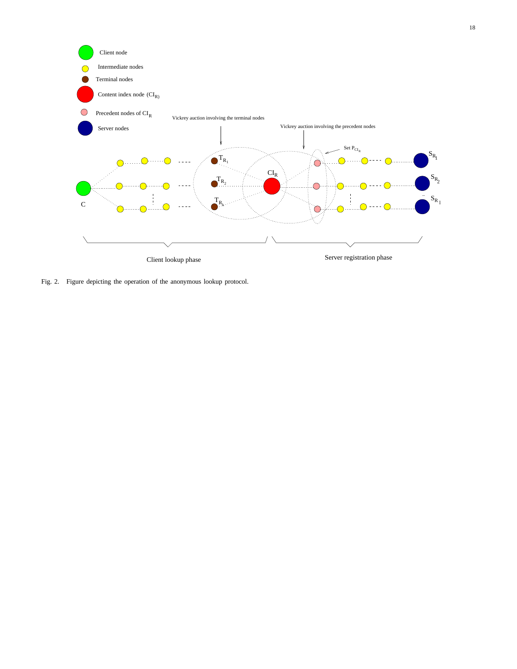

Fig. 2. Figure depicting the operation of the anonymous lookup protocol.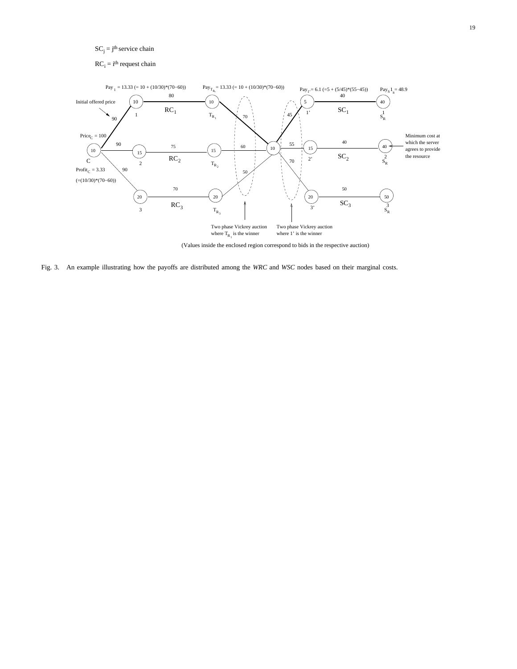$SC_j = j<sup>th</sup>$  service chain

 $RC_i = i<sup>th</sup>$  request chain



Fig. 3. An example illustrating how the payoffs are distributed among the *WRC* and *WSC* nodes based on their marginal costs.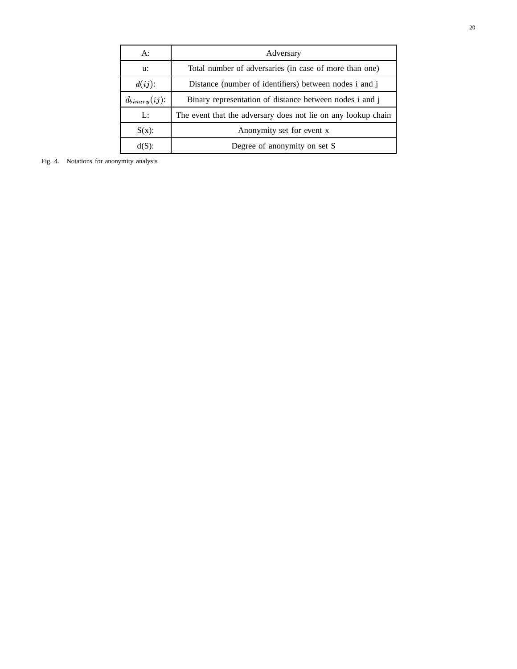| A:                 | Adversary                                                     |  |
|--------------------|---------------------------------------------------------------|--|
| u:                 | Total number of adversaries (in case of more than one)        |  |
| $d(ij)$ :          | Distance (number of identifiers) between nodes i and j        |  |
| $d_{binary}(ij)$ : | Binary representation of distance between nodes i and j       |  |
| L:                 | The event that the adversary does not lie on any lookup chain |  |
| $S(x)$ :           | Anonymity set for event x                                     |  |
| $d(S)$ :           | Degree of anonymity on set S                                  |  |

Fig. 4. Notations for anonymity analysis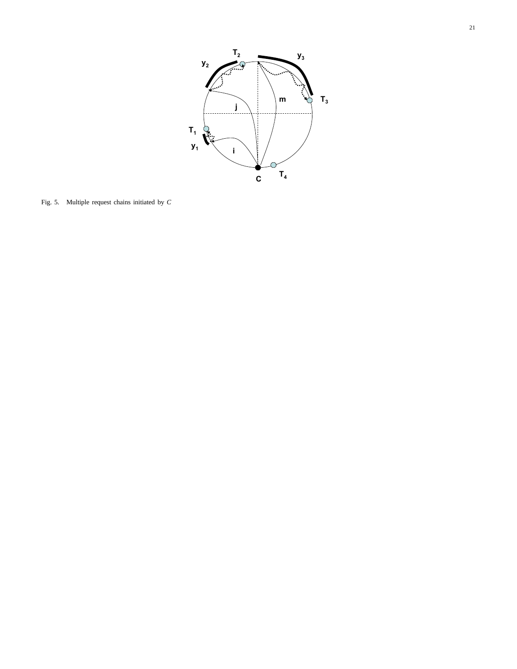

Fig. 5. Multiple request chains initiated by *C*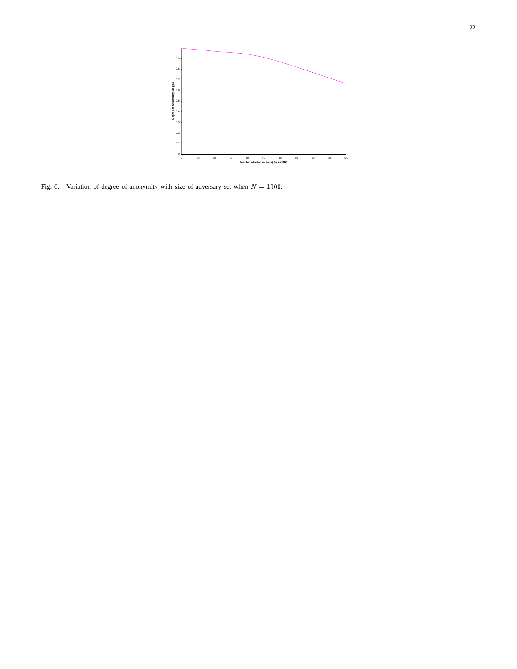

Fig. 6. Variation of degree of anonymity with size of adversary set when  $N = 1000$ .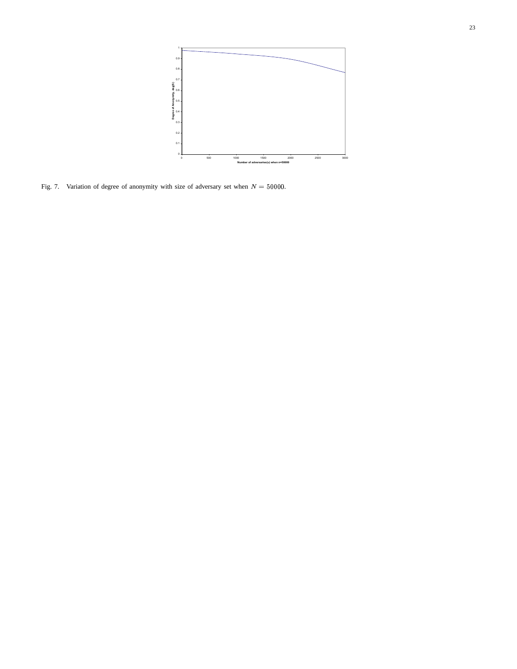

Fig. 7. Variation of degree of anonymity with size of adversary set when  $N = 50000$ .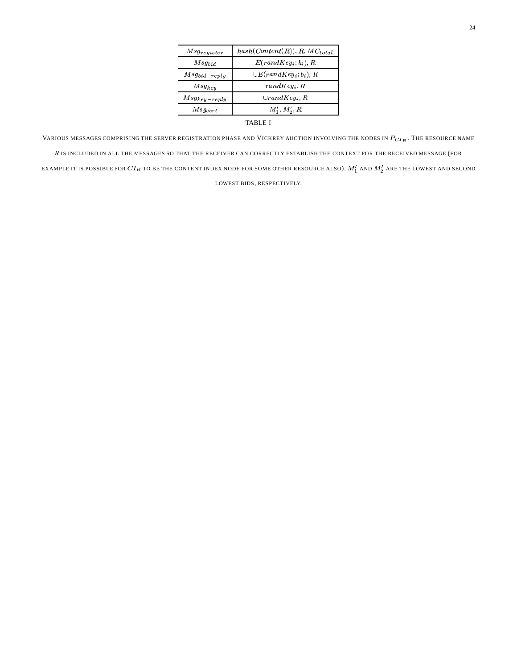| $M$ sg $_{register}$   | $hash(Content(R)), R, MC_{total}$ |
|------------------------|-----------------------------------|
| $Msg_{bid}$            | $E(randKey_i; b_i), R$            |
| $Msg_{bid-reply}$      | $\cup E(randKey_i; b_i), R$       |
| $Msg_{key}$            | $randKey_i, R$                    |
| $Msg_{\,ke\,y-reply}$  | $\cup randKey_i, R$               |
| $M$ sg <sub>cert</sub> | $M'_{1}, M'_{2}, R$               |
|                        | . <del>.</del>                    |

TABLE I

VARIOUS MESSAGES COMPRISING THE SERVER REGISTRATION PHASE AND VICKREY AUCTION INVOLVING THE NODES IN  $P_{CI_R}$ . The resource name  $\cal R$  IS INCLUDED IN ALL THE MESSAGES SO THAT THE RECEIVER CAN CORRECTLY ESTABLISH THE CONTEXT FOR THE RECEIVED MESSAGE (FOR EXAMPLE IT IS POSSIBLE FOR  $CI_R$  to be the content index node for some other resource also).  $M'_1$  and  $M'_2$  are the lowest and second

LOWEST BIDS, RESPECTIVELY.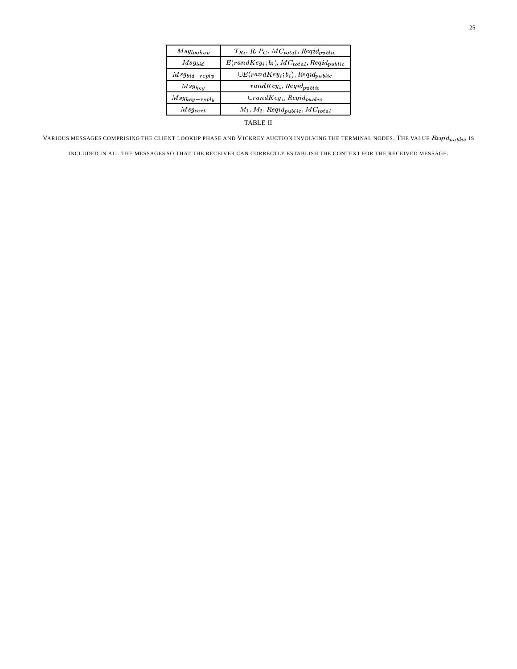| $Msg_{lookup}$     | $T_{R_i}$ , R, P <sub>C</sub> , MC <sub>total</sub> , Reqid <sub>public</sub> |
|--------------------|-------------------------------------------------------------------------------|
| $Msg_{bid}$        | $E(randKey_i; b_i), MC_{total}, Required_{public}$                            |
| $Msg_{bid-reply}$  | $\cup E(randKey_i; b_i), Regid_{public}$                                      |
| $Msg_{key}$        | $randKey_i, Regid_{public}$                                                   |
| $Msg_{key-reply}$  | $\cup randKey_i, Regid_{public}$                                              |
| $M_{\text{SQ}ert}$ | $M_1, M_2, Regid_{public}, MC_{total}$                                        |
|                    | TABLE II                                                                      |

VARIOUS MESSAGES COMPRISING THE CLIENT LOOKUP PHASE AND VICKREY AUCTION INVOLVING THE TERMINAL NODES. THE VALUE  $\emph{Regid}_{public}$  is

INCLUDED IN ALL THE MESSAGES SO THAT THE RECEIVER CAN CORRECTLY ESTABLISH THE CONTEXT FOR THE RECEIVED MESSAGE.